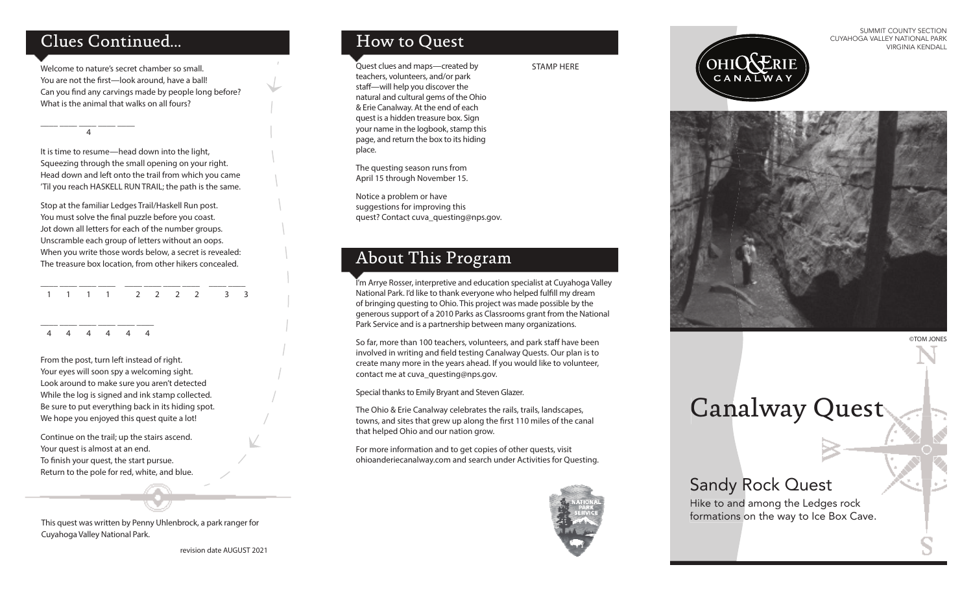#### Clues Continued...

\_\_\_\_ \_\_\_\_ \_\_\_\_ \_\_\_\_ \_\_\_\_

4

Welcome to nature's secret chamber so small. You are not the first—look around, have a ball! Can you find any carvings made by people long before? What is the animal that walks on all fours?

It is time to resume—head down into the light, Squeezing through the small opening on your right. Head down and left onto the trail from which you came 'Til you reach HASKELL RUN TRAIL; the path is the same.

Stop at the familiar Ledges Trail/Haskell Run post. You must solve the final puzzle before you coast. Jot down all letters for each of the number groups. Unscramble each group of letters without an oops. When you write those words below, a secret is revealed: The treasure box location, from other hikers concealed.

\_\_\_\_ \_\_\_\_ \_\_\_\_ \_\_\_\_ \_\_\_\_ \_\_\_\_ \_\_\_\_ \_\_\_\_ \_\_\_\_ \_\_\_\_ 1 1 1 1 2 2 2 2 3 3

\_\_\_\_ \_\_\_\_ \_\_\_\_ \_\_\_\_ \_\_\_\_ \_\_\_\_ 4 4 4 4 4 4

From the post, turn left instead of right. Your eyes will soon spy a welcoming sight. Look around to make sure you aren't detected While the log is signed and ink stamp collected. Be sure to put everything back in its hiding spot. We hope you enjoyed this quest quite a lot!

Continue on the trail; up the stairs ascend. Your quest is almost at an end. To finish your quest, the start pursue. Return to the pole for red, white, and blue.

This quest was written by Penny Uhlenbrock, a park ranger for Cuyahoga Valley National Park.

revision date AUGUST 2021

#### How to Quest

Quest clues and maps—created by teachers, volunteers, and/or park staff-will help you discover the natural and cultural gems of the Ohio & Erie Canalway. At the end of each quest is a hidden treasure box. Sign your name in the logbook, stamp this page, and return the box to its hiding place.

The questing season runs from April 15 through November 15.

Notice a problem or have suggestions for improving this quest? Contact cuva\_questing@nps.gov.

#### About This Program

I'm Arrye Rosser, interpretive and education specialist at Cuyahoga Valley National Park. I'd like to thank everyone who helped fulfill my dream of bringing questing to Ohio. This project was made possible by the generous support of a 2010 Parks as Classrooms grant from the National Park Service and is a partnership between many organizations.

So far, more than 100 teachers, volunteers, and park staff have been involved in writing and field testing Canalway Quests. Our plan is to create many more in the years ahead. If you would like to volunteer, contact me at cuva\_questing@nps.gov.

Special thanks to Emily Bryant and Steven Glazer.

The Ohio & Erie Canalway celebrates the rails, trails, landscapes, towns, and sites that grew up along the first 110 miles of the canal that helped Ohio and our nation grow.

For more information and to get copies of other quests, visit ohioanderiecanalway.com and search under Activities for Questing.



STAMP HERE

CANALWAY



SUMMIT COUNTY SECTION CUYAHOGA VALLEY NATIONAL PARK

VIRGINIA KENDALL

# Canalway Quest

### Sandy Rock Quest

Hike to and among the Ledges rock formations on the way to Ice Box Cave.